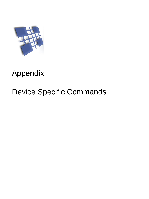

# Appendix

# Device Specific Commands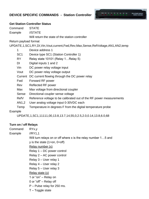# **DEVICE SPECIFIC COMMANDS - Station Controller**



#### **Get Station Controller Status**

| Command               | <b>STATE</b>                                                                  |  |
|-----------------------|-------------------------------------------------------------------------------|--|
| Example               | //STATE                                                                       |  |
|                       | Will return the state of the station controller                               |  |
| Return payload format |                                                                               |  |
|                       | UPDATE,1,SC1,RY,DI,Vin,Vout,current,Fwd,Rev,Max,Sense,RefVoltage,AN1,AN2,temp |  |
| 1                     | Device address 1                                                              |  |
| SC <sub>1</sub>       | Device type SC1 (Station Controller 1)                                        |  |
| RY.                   | Relay state 10101 (Relay 1Relay 5)                                            |  |
| DI.                   | Digital inputs 1 and 2                                                        |  |
| Vin                   | DC power relay voltage input                                                  |  |
| Vout                  | DC power relay voltage output                                                 |  |
|                       | Current DC current flowing through the DC power relay                         |  |
| Fwd                   | Forward RF power                                                              |  |
| Rev                   | Reflected RF power                                                            |  |
| Max                   | Max voltage from directional coupler                                          |  |
| Sense                 | Directional coupler sense voltage                                             |  |
|                       |                                                                               |  |

- RefV Reference voltage to be calibrated out of the RF power measurements
- AN1,2 User analog voltage input 0-30VDC each
- Temp Temperature in degrees F from the digital temperature probe

#### Example

UPDATE,1,SC1,11111,00,13.8,13.7,14,55,0,2.5,2.0,0.14,13.8,6.0,68

## **Turn on / off Relays**

Command RYx,y

Example //RY1,1

Will turn relays on or off where x is the relay number 1...5 and

 $y$  is the state (1=on, 0=off)

Relay number (x)

Relay 1 – DC power control

Relay 2 – AC power control

- Relay 3 User relay 1
- Relay 4 User relay 2

Relay 5 – User relay 3

## Relay state (y)

1 or "on" – Relay on

0 or "off" – Relay off

P – Pulse relay for 250 ms.

T – Toggle state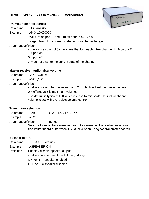# **DEVICE SPECIFIC COMMANDS - RadioRouter**



#### **RX mixer channel control**

- Command MIX,<mask>
- Example //MIX,10X00000

Will turn on port 1, and turn off ports 2,4,5,6,7,8

Regardless of the current state port 3 will be unchanged

Argument definition

<mask> is a string of 8 characters that turn each mixer channel 1…8 on or off.

 $1 =$  port on

 $0 =$  port off

 $X =$  do not change the current state of the channel

#### **Master receiver audio mixer volume**

Command VOL, <value>

Example //VOL,100

Argument definition

<value> is a number between 0 and 255 which will set the master volume.

 $0 =$  off and 255 is maximum volume.

The default is typically 100 which is close to mid scale. Individual channel volume is set with the radio's volume control.

## **Transmitter selection**

Command TXn (TX1, TX2, TX3, TX4)

Example //TX1

Argument definition: none.

Sets the focus of the transmitter board to transmitter 1 or 2 when using one transmitter board or between 1, 2, 3, or 4 when using two transmitter boards.

## **Speaker control**

Command SPEAKER,<value>

Example //SPEAKER,ON

Definition Enable / disable speaker output.

<value> can be one of the following strings

ON or  $1 =$  speaker enabled

OFF or  $0 =$  speaker disabled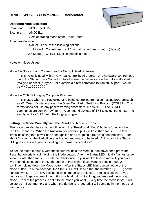# **DEVICE SPECIFIC COMMANDS - RadioRouter**

#### **Operating Mode Selection**

Command MODE,<value>

Example //MODE,1

Sets operating mode of the RadioRouter.

#### Argument definition

<value> is one of the following options

- 1 = Mode 1. Control head or PC virtual control head control (default)
- 2 = Mode 2. OTRSP SO2R compatible mode.

#### Notes on Mode Usage

Mode 1 – StationStack Control Head or Control Head Software

This is typically used with a PC virtual control head program or a hardware control head using the StationStack Control Protocol where the packets are either fully addressed (/A) type or direct (//) type. For example a direct command to turn on Rx port 1 would be //MIX,1XXXXXXX

#### Mode 2 – OTRSP Logging Computer Program

This is used when the RadioRouter is being controlled from a contesting program such as WinTest or WriteLog using the Open Two Radio Switching Protocol (OTRSP). This format does not use any packet framing characters, like /A01:…. The OTRSP commands are sent in "raw" form. A command payload of TX1 to select transmitter 1 is simply sent as "TX1" from the logging program.

#### **Setting the Mode Manually with the Reset and Mode buttons**

The mode can also be set at boot time with the "Reset" and "Mode" buttons found on the CPU or Tx boards. When the RadioRouter powers up, it will flash the Status LED a few times indicating that power has been applied and it is going through its boot process. After about 5 seconds, the RadioRouter is booted and ready to be used. At this point the Status LED goes to a solid green indicating the normal "on condition".

To set the mode manually with these buttons, hold the Mode button down, then press the Reset button briefly, still holding the Mode button. After the Status LED initially flashes, a few seconds later the Status LED will then blink once. If you want to boot in mode 1, you have two seconds to let go of the Mode button at that point. If you want to boot in mode 2, continue holding down the Mode button. After the Status LED blinks twice, let go of the mode button. In a few seconds, the Status LED will send either the number 1 (. - - - -) or the number two (...--) in CW indicating which mode was selected. Timing is critical. If you bounce you finger on one of the buttons or hold it down too long, you may set the wrong mode. Repeat the process to set it to the mode you want. Every time the mode is set, it will be stored in flash memory and when the device is re-booted, it will come up in the mode that was last set.

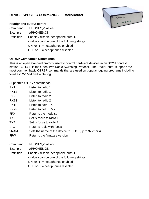# **DEVICE SPECIFIC COMMANDS - RadioRouter**



- Command PHONES,<value>
- Example //PHONES,ON
- Definition Enable / disable headphone output. <value> can be one of the following strings ON or  $1 =$  headphones enabled OFF or  $0 =$  headphones disabled



#### **OTRSP Compatible Commands**

This is an open standard protocol used to control hardware devices in an SO2R contest station. OTRSP is the Open Two Radio Switching Protocol. The RadioRouter supports the most common basic OTRSP commands that are used on popular logging programs including WinTest, W1MM and WriteLog.

Supported OTRSP commands

| Listen to radio 1                                    |  |  |
|------------------------------------------------------|--|--|
| Listen to radio 1                                    |  |  |
| Listen to radio 2                                    |  |  |
| Listen to radio 2                                    |  |  |
| Listen to both 1 & 2                                 |  |  |
| Listen to both 1 & 2                                 |  |  |
| Returns the mode set                                 |  |  |
| Set tx focus to radio 1                              |  |  |
| Set tx focus to radio 2                              |  |  |
| Returns radio with focus                             |  |  |
| Sets the name of the device to TEXT (up to 32 chars) |  |  |
| Returns the firmware version                         |  |  |
| PHONES, <value></value>                              |  |  |
| //PHONES,ON                                          |  |  |
| Enable / disable headphone output.                   |  |  |
| <value> can be one of the following strings</value>  |  |  |
| ON or $1 =$ headphones enabled                       |  |  |
| OFF or $0 =$ headphones disabled                     |  |  |
|                                                      |  |  |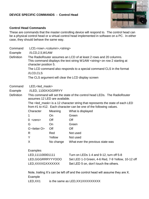#### **DEVICE SPECIFIC COMMANDS - Control Head**



#### **Control Head Commands**

These are commands that the master controlling device will respond to. The control head can be a physical control head or a virtual control head implemented in software on a PC. In either case, they should behave the same way.

| Command           | LCD, <row>,<column>,<string></string></column></row>                                                                                                                             |
|-------------------|----------------------------------------------------------------------------------------------------------------------------------------------------------------------------------|
| Example           | //LCD, 2, 5, W1AW                                                                                                                                                                |
| <b>Definition</b> | The RadioRouter assumes an LCD of at least 2 rows and 20 columns.<br>This command displays the text string W1AW <string> on row 2 starting at<br/>character position 5.</string> |
|                   | The LCD command also responds to a special command CLS in the format                                                                                                             |
|                   | //LCD,CLS                                                                                                                                                                        |
|                   |                                                                                                                                                                                  |

The CLS argument will clear the LCD display screen

- Command LED,<led\_mask>
- Example //LED, 1100XXGGRRYY
- Definition This command will set the state of the control head LEDs. The RadioRouter assumes 12 LED are available.

The <led\_mask> is a 12 character string that represents the state of each LED from #1 to #12. Each character can be one of the following values.

| Character          | Meaning   | What is displayed                |
|--------------------|-----------|----------------------------------|
| 1                  | On        | Green                            |
| $0 <$ zero $>$     | Off       | Off                              |
| G                  | On        | Green                            |
| $O$ < letter $O$ > | Off.      | Off                              |
| R                  | Red       | Not used                         |
| Y                  | Yellow    | Not used                         |
| X                  | No change | What ever the previous state was |

#### **Examples**

| LAQUIPICS         |                                                   |
|-------------------|---------------------------------------------------|
| LED, 111100001111 | Turn on LEDs 1-4 and 9-12, turn off 5-8           |
| LED.GGGRRRYYYOOO  | Set LED 1-3 Green, 4-6 Red, 7-9 Yellow, 10-12 off |
| LED.XXXXGXXXXXXX  | Set LED 5 on, don't touch the others.             |

Note, trailing X's can be left off and the control head will assume they are X. Example

LED,XX1 is the same as LED,XX1XXXXXXXXX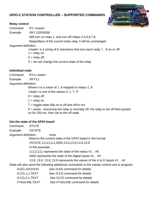# **GPIO-2 STATION CONTROLLER – SUPPORTED COMMANDS**



## **Relay control**

Command RY,<mask>

Example //RY,10X00000

Will turn on relay 1, and turn off relays 2,4,5,6,7,8

Regardless of the current state relay 3 will be unchanged

Argument definition

<mask> is a string of 8 characters that turn each realy 1…8 on or off.

 $1 =$  relay on

 $0 =$  relay off

 $X =$  do not change the current state of the relay

## **Individual realy**

Command RYn,<state>

Example //RY3,1

Argument definition

Where n is a value of 1..8 mapped to relays 1..8 <state> is one of the values 0, 1, T, P.  $0 =$  relay off  $1 =$  relay on  $T =$  toggle state (flip on to off and off to on)

 $P =$  pulse. Assuming the relay is normally off, the relay is set off then pulsed on for 250 ms. then set to the off state.

# **Get the state of the GPIO board**

Command STATE Example //STATE Argument definition: none. Returns the current state of the GPIO board in the format: //STATE,11111111,0000,13.8,13.8,13.8,13.8 In this example… 11111111 represents the state of the relays #1 .. #8 0000 represents the state of the digital inputs #1 .. #4 13.8, 13.8, 13.8, 13.8 represents the values of the A to D inputs #1 .. #4 State will also send the following additional commands to the master control unit or program: //LED,10101010 See //LED command for details //LCD,1,1,TEXT See //LCD command for details //LCD,2,1,TEXT See //LCD command for details //TAGLINE,TEXT See //TAGLINE command for details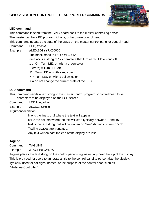# **GPIO-2 STATION CONTROLLER – SUPPORTED COMMANDS**



### **LED command**

This command is send from the GPIO board back to the master controlling device.

The master can be a PC program, iphone, or hardware control head.

This command updates the state of the LEDs on the master control panel or control head.

Command LED,<mask>

Example //LED,10GYYRX00000 The mask maps to LED's #1 .. #12 <mask> is a string of 12 characters that turn each LED on and off 1 or G = Turn LED on with a green color  $0$  (zero) = Turn LED off  $R =$ Turn LED on with a red color  $Y =$ Turn LED on with a yellow color  $X =$  do not change the current state of the LED

## **LCD command**

This command sends a text string to the master control program or control head to set characters to be displayed on the LCD screen.

Command LCD,line,col,text

Example //LCD,1,5,Hello

Argument definition

line is the line 1 or 2 where the text will appear col is the column where the text will start typically between 1 and 16 text is the text string that will be written on "line" starting in column "col" Trailing spaces are truncated. Any text written past the end of the display are lost

# **Tagline**

Command TAGLINE

Example //TAGLINE,W1AW

Tagline places the text string on the control panel's tagline usually near the top of the display. This is provided for users to annotate a title to the control panel to personalize the display.

Typically used for callsigns, names, or the purpose of the control head such as

"Antenna Controller"